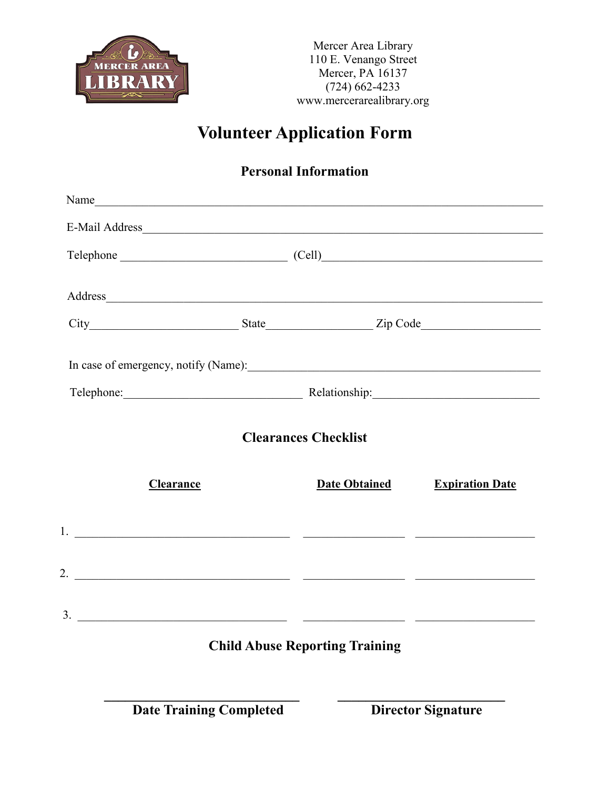

Mercer Area Library 110 E. Venango Street Mercer, PA 16137 (724) 662-4233 www.mercerarealibrary.org

# **Volunteer Application Form**

### **Personal Information**

| Name                                                                                                                                                                                                                           |                                        |                                                     |                        |  |
|--------------------------------------------------------------------------------------------------------------------------------------------------------------------------------------------------------------------------------|----------------------------------------|-----------------------------------------------------|------------------------|--|
|                                                                                                                                                                                                                                |                                        |                                                     |                        |  |
|                                                                                                                                                                                                                                | Telephone (Cell) Cell)                 |                                                     |                        |  |
|                                                                                                                                                                                                                                |                                        |                                                     |                        |  |
| Address and the contract of the contract of the contract of the contract of the contract of the contract of the contract of the contract of the contract of the contract of the contract of the contract of the contract of th |                                        |                                                     |                        |  |
|                                                                                                                                                                                                                                |                                        |                                                     |                        |  |
|                                                                                                                                                                                                                                |                                        |                                                     |                        |  |
|                                                                                                                                                                                                                                | Telephone: Relationship: Relationship: |                                                     |                        |  |
| Clearance                                                                                                                                                                                                                      |                                        | <b>Clearances Checklist</b><br><b>Date Obtained</b> | <b>Expiration Date</b> |  |
|                                                                                                                                                                                                                                |                                        |                                                     |                        |  |
|                                                                                                                                                                                                                                |                                        |                                                     |                        |  |
|                                                                                                                                                                                                                                |                                        |                                                     |                        |  |
|                                                                                                                                                                                                                                |                                        | <b>Child Abuse Reporting Training</b>               |                        |  |
|                                                                                                                                                                                                                                |                                        |                                                     |                        |  |

**Date Training Completed Director Signature**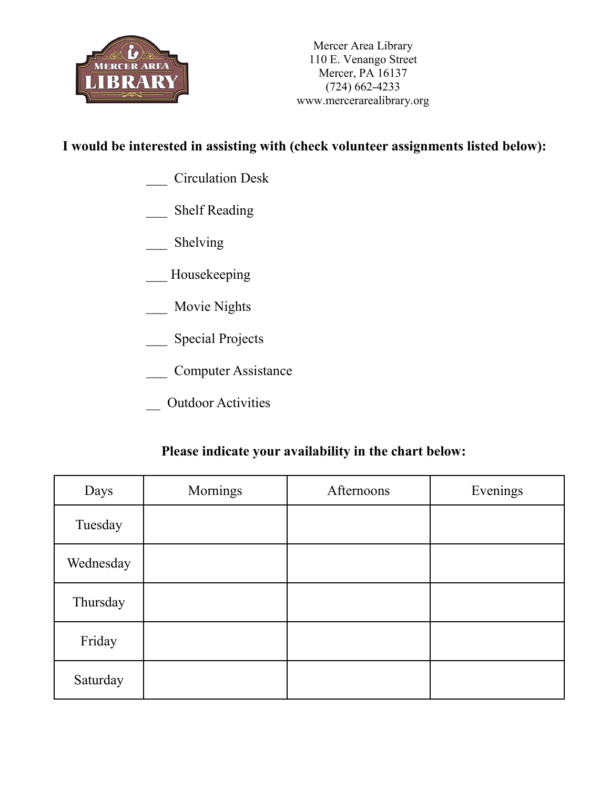

#### **I would be interested in assisting with (check volunteer assignments listed below):**

- \_\_\_ Circulation Desk
- \_\_\_ Shelf Reading
- Shelving
- Housekeeping
- Movie Nights
- \_\_\_ Special Projects
- \_\_\_ Computer Assistance
- \_\_ Outdoor Activities

#### **Please indicate your availability in the chart below:**

| Days      | Mornings | Afternoons | Evenings |
|-----------|----------|------------|----------|
| Tuesday   |          |            |          |
| Wednesday |          |            |          |
| Thursday  |          |            |          |
| Friday    |          |            |          |
| Saturday  |          |            |          |